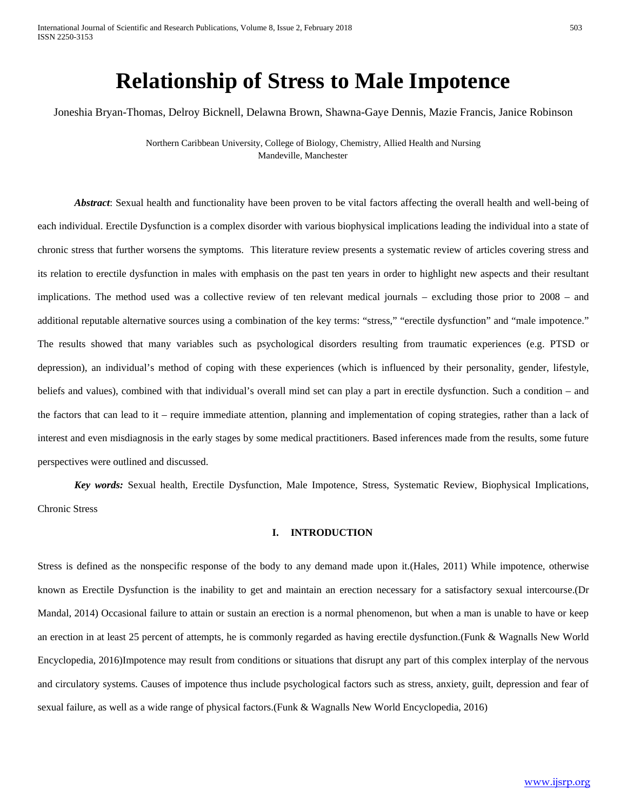# **Relationship of Stress to Male Impotence**

Joneshia Bryan-Thomas, Delroy Bicknell, Delawna Brown, Shawna-Gaye Dennis, Mazie Francis, Janice Robinson

Northern Caribbean University, College of Biology, Chemistry, Allied Health and Nursing Mandeville, Manchester

*Abstract*: Sexual health and functionality have been proven to be vital factors affecting the overall health and well-being of each individual. Erectile Dysfunction is a complex disorder with various biophysical implications leading the individual into a state of chronic stress that further worsens the symptoms. This literature review presents a systematic review of articles covering stress and its relation to erectile dysfunction in males with emphasis on the past ten years in order to highlight new aspects and their resultant implications. The method used was a collective review of ten relevant medical journals – excluding those prior to 2008 – and additional reputable alternative sources using a combination of the key terms: "stress," "erectile dysfunction" and "male impotence." The results showed that many variables such as psychological disorders resulting from traumatic experiences (e.g. PTSD or depression), an individual's method of coping with these experiences (which is influenced by their personality, gender, lifestyle, beliefs and values), combined with that individual's overall mind set can play a part in erectile dysfunction. Such a condition – and the factors that can lead to it – require immediate attention, planning and implementation of coping strategies, rather than a lack of interest and even misdiagnosis in the early stages by some medical practitioners. Based inferences made from the results, some future perspectives were outlined and discussed.

*Key words:* Sexual health, Erectile Dysfunction, Male Impotence, Stress, Systematic Review, Biophysical Implications, Chronic Stress

### **I. INTRODUCTION**

Stress is defined as the nonspecific response of the body to any demand made upon it.(Hales, 2011) While impotence, otherwise known as Erectile Dysfunction is the inability to get and maintain an erection necessary for a satisfactory sexual intercourse.(Dr Mandal, 2014) Occasional failure to attain or sustain an erection is a normal phenomenon, but when a man is unable to have or keep an erection in at least 25 percent of attempts, he is commonly regarded as having erectile dysfunction.(Funk & Wagnalls New World Encyclopedia, 2016)Impotence may result from conditions or situations that disrupt any part of this complex interplay of the nervous and circulatory systems. Causes of impotence thus include psychological factors such as stress, anxiety, guilt, depression and fear of sexual failure, as well as a wide range of physical factors.(Funk & Wagnalls New World Encyclopedia, 2016)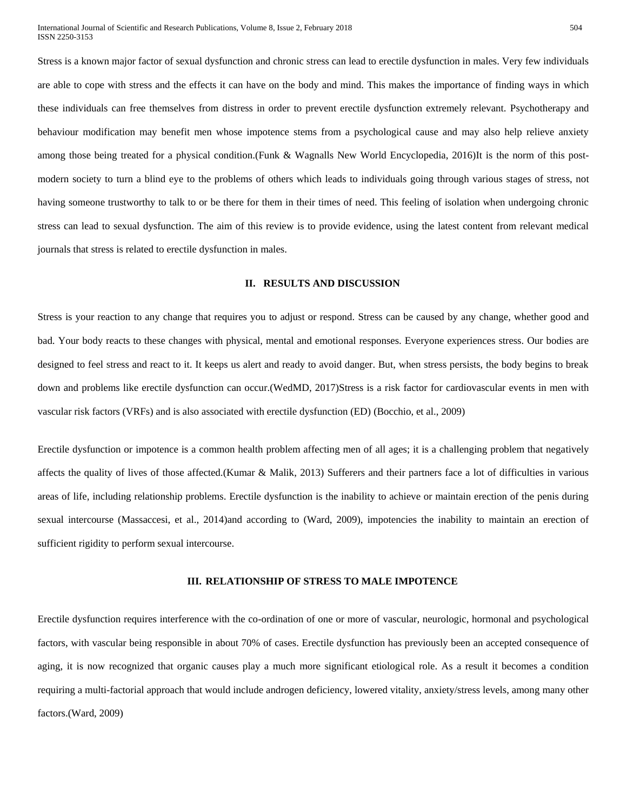Stress is a known major factor of sexual dysfunction and chronic stress can lead to erectile dysfunction in males. Very few individuals are able to cope with stress and the effects it can have on the body and mind. This makes the importance of finding ways in which these individuals can free themselves from distress in order to prevent erectile dysfunction extremely relevant. Psychotherapy and behaviour modification may benefit men whose impotence stems from a psychological cause and may also help relieve anxiety among those being treated for a physical condition.(Funk & Wagnalls New World Encyclopedia, 2016)It is the norm of this postmodern society to turn a blind eye to the problems of others which leads to individuals going through various stages of stress, not having someone trustworthy to talk to or be there for them in their times of need. This feeling of isolation when undergoing chronic stress can lead to sexual dysfunction. The aim of this review is to provide evidence, using the latest content from relevant medical journals that stress is related to erectile dysfunction in males.

#### **II. RESULTS AND DISCUSSION**

Stress is your reaction to any change that requires you to adjust or respond. Stress can be caused by any change, whether good and bad. Your body reacts to these changes with physical, mental and emotional responses. Everyone experiences stress. Our bodies are designed to feel stress and react to it. It keeps us alert and ready to avoid danger. But, when stress persists, the body begins to break down and problems like erectile dysfunction can occur.(WedMD, 2017)Stress is a risk factor for cardiovascular events in men with vascular risk factors (VRFs) and is also associated with erectile dysfunction (ED) (Bocchio, et al., 2009)

Erectile dysfunction or impotence is a common health problem affecting men of all ages; it is a challenging problem that negatively affects the quality of lives of those affected.(Kumar & Malik, 2013) Sufferers and their partners face a lot of difficulties in various areas of life, including relationship problems. Erectile dysfunction is the inability to achieve or maintain erection of the penis during sexual intercourse (Massaccesi, et al., 2014)and according to (Ward, 2009), impotencies the inability to maintain an erection of sufficient rigidity to perform sexual intercourse.

### **III. RELATIONSHIP OF STRESS TO MALE IMPOTENCE**

Erectile dysfunction requires interference with the co-ordination of one or more of vascular, neurologic, hormonal and psychological factors, with vascular being responsible in about 70% of cases. Erectile dysfunction has previously been an accepted consequence of aging, it is now recognized that organic causes play a much more significant etiological role. As a result it becomes a condition requiring a multi-factorial approach that would include androgen deficiency, lowered vitality, anxiety/stress levels, among many other factors.(Ward, 2009)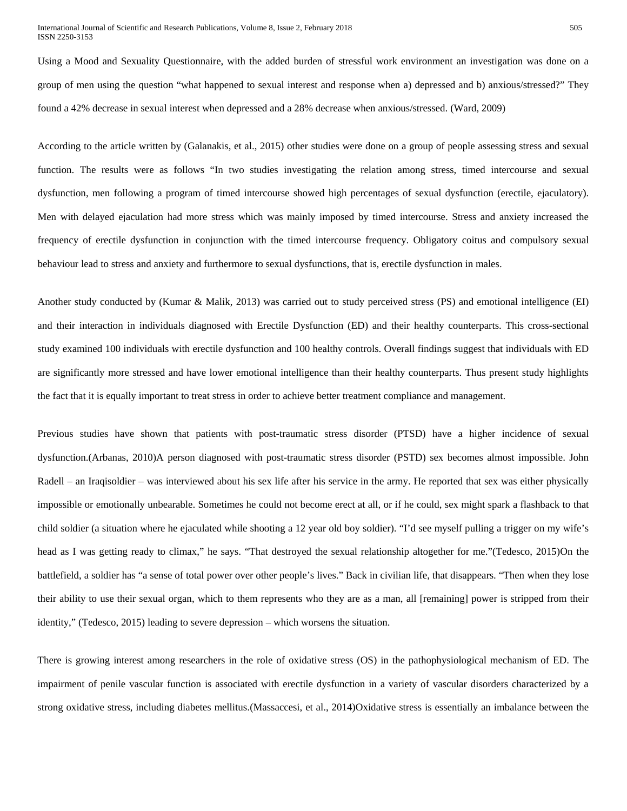Using a Mood and Sexuality Questionnaire, with the added burden of stressful work environment an investigation was done on a group of men using the question "what happened to sexual interest and response when a) depressed and b) anxious/stressed?" They found a 42% decrease in sexual interest when depressed and a 28% decrease when anxious/stressed. (Ward, 2009)

According to the article written by (Galanakis, et al., 2015) other studies were done on a group of people assessing stress and sexual function. The results were as follows "In two studies investigating the relation among stress, timed intercourse and sexual dysfunction, men following a program of timed intercourse showed high percentages of sexual dysfunction (erectile, ejaculatory). Men with delayed ejaculation had more stress which was mainly imposed by timed intercourse. Stress and anxiety increased the frequency of erectile dysfunction in conjunction with the timed intercourse frequency. Obligatory coitus and compulsory sexual behaviour lead to stress and anxiety and furthermore to sexual dysfunctions, that is, erectile dysfunction in males.

Another study conducted by (Kumar & Malik, 2013) was carried out to study perceived stress (PS) and emotional intelligence (EI) and their interaction in individuals diagnosed with Erectile Dysfunction (ED) and their healthy counterparts. This cross-sectional study examined 100 individuals with erectile dysfunction and 100 healthy controls. Overall findings suggest that individuals with ED are significantly more stressed and have lower emotional intelligence than their healthy counterparts. Thus present study highlights the fact that it is equally important to treat stress in order to achieve better treatment compliance and management.

Previous studies have shown that patients with post-traumatic stress disorder (PTSD) have a higher incidence of sexual dysfunction.(Arbanas, 2010)A person diagnosed with post-traumatic stress disorder (PSTD) sex becomes almost impossible. John Radell – an Iraqisoldier – was interviewed about his sex life after his service in the army. He reported that sex was either physically impossible or emotionally unbearable. Sometimes he could not become erect at all, or if he could, sex might spark a flashback to that child soldier (a situation where he ejaculated while shooting a 12 year old boy soldier). "I'd see myself pulling a trigger on my wife's head as I was getting ready to climax," he says. "That destroyed the sexual relationship altogether for me."(Tedesco, 2015)On the battlefield, a soldier has "a sense of total power over other people's lives." Back in civilian life, that disappears. "Then when they lose their ability to use their sexual organ, which to them represents who they are as a man, all [remaining] power is stripped from their identity," (Tedesco, 2015) leading to severe depression – which worsens the situation.

There is growing interest among researchers in the role of oxidative stress (OS) in the pathophysiological mechanism of ED. The impairment of penile vascular function is associated with erectile dysfunction in a variety of vascular disorders characterized by a strong oxidative stress, including diabetes mellitus.(Massaccesi, et al., 2014)Oxidative stress is essentially an imbalance between the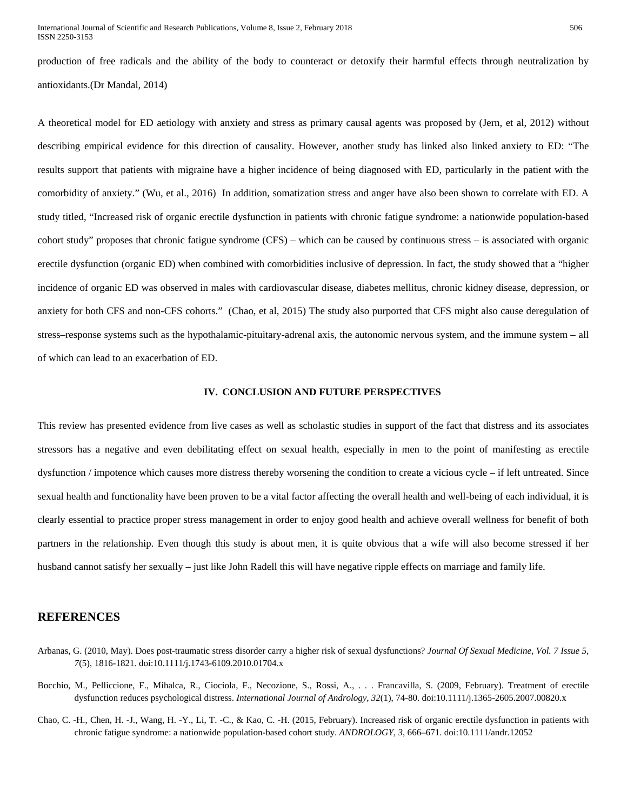production of free radicals and the ability of the body to counteract or detoxify their harmful effects through neutralization by antioxidants.(Dr Mandal, 2014)

A theoretical model for ED aetiology with anxiety and stress as primary causal agents was proposed by (Jern, et al, 2012) without describing empirical evidence for this direction of causality. However, another study has linked also linked anxiety to ED: "The results support that patients with migraine have a higher incidence of being diagnosed with ED, particularly in the patient with the comorbidity of anxiety." (Wu, et al., 2016) In addition, somatization stress and anger have also been shown to correlate with ED. A study titled, "Increased risk of organic erectile dysfunction in patients with chronic fatigue syndrome: a nationwide population-based cohort study" proposes that chronic fatigue syndrome (CFS) – which can be caused by continuous stress – is associated with organic erectile dysfunction (organic ED) when combined with comorbidities inclusive of depression. In fact, the study showed that a "higher incidence of organic ED was observed in males with cardiovascular disease, diabetes mellitus, chronic kidney disease, depression, or anxiety for both CFS and non-CFS cohorts." (Chao, et al, 2015) The study also purported that CFS might also cause deregulation of stress–response systems such as the hypothalamic-pituitary-adrenal axis, the autonomic nervous system, and the immune system – all of which can lead to an exacerbation of ED.

#### **IV. CONCLUSION AND FUTURE PERSPECTIVES**

This review has presented evidence from live cases as well as scholastic studies in support of the fact that distress and its associates stressors has a negative and even debilitating effect on sexual health, especially in men to the point of manifesting as erectile dysfunction / impotence which causes more distress thereby worsening the condition to create a vicious cycle – if left untreated. Since sexual health and functionality have been proven to be a vital factor affecting the overall health and well-being of each individual, it is clearly essential to practice proper stress management in order to enjoy good health and achieve overall wellness for benefit of both partners in the relationship. Even though this study is about men, it is quite obvious that a wife will also become stressed if her husband cannot satisfy her sexually – just like John Radell this will have negative ripple effects on marriage and family life.

## **REFERENCES**

- Arbanas, G. (2010, May). Does post-traumatic stress disorder carry a higher risk of sexual dysfunctions? *Journal Of Sexual Medicine, Vol. 7 Issue 5, 7*(5), 1816-1821. doi:10.1111/j.1743-6109.2010.01704.x
- Bocchio, M., Pelliccione, F., Mihalca, R., Ciociola, F., Necozione, S., Rossi, A., . . . Francavilla, S. (2009, February). Treatment of erectile dysfunction reduces psychological distress. *International Journal of Andrology, 32*(1), 74-80. doi:10.1111/j.1365-2605.2007.00820.x
- Chao, C. -H., Chen, H. -J., Wang, H. -Y., Li, T. -C., & Kao, C. -H. (2015, February). Increased risk of organic erectile dysfunction in patients with chronic fatigue syndrome: a nationwide population-based cohort study. *ANDROLOGY, 3*, 666–671. doi:10.1111/andr.12052